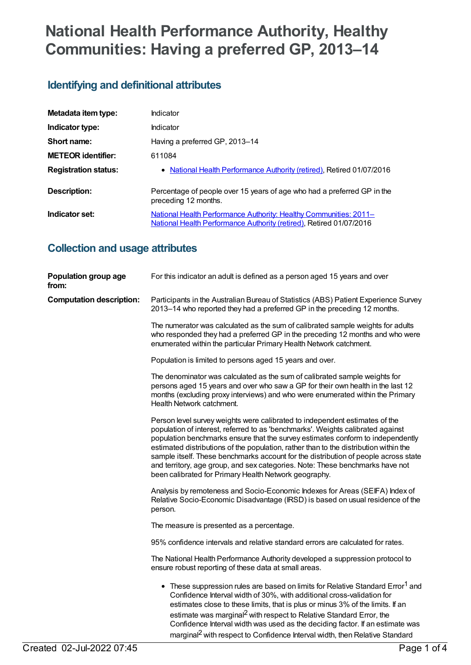# **National Health Performance Authority, Healthy Communities: Having a preferred GP, 2013–14**

# **Identifying and definitional attributes**

| Metadata item type:         | Indicator                                                                                                                                |
|-----------------------------|------------------------------------------------------------------------------------------------------------------------------------------|
| Indicator type:             | Indicator                                                                                                                                |
| Short name:                 | Having a preferred GP, 2013-14                                                                                                           |
| <b>METEOR identifier:</b>   | 611084                                                                                                                                   |
| <b>Registration status:</b> | • National Health Performance Authority (retired), Retired 01/07/2016                                                                    |
| Description:                | Percentage of people over 15 years of age who had a preferred GP in the<br>preceding 12 months.                                          |
| Indicator set:              | National Health Performance Authority: Healthy Communities: 2011-<br>National Health Performance Authority (retired), Retired 01/07/2016 |

# **Collection and usage attributes**

| Population group age<br>from:   | For this indicator an adult is defined as a person aged 15 years and over                                                                                                                                                                                                                                                                                                                                                                                                                                                                                                   |
|---------------------------------|-----------------------------------------------------------------------------------------------------------------------------------------------------------------------------------------------------------------------------------------------------------------------------------------------------------------------------------------------------------------------------------------------------------------------------------------------------------------------------------------------------------------------------------------------------------------------------|
| <b>Computation description:</b> | Participants in the Australian Bureau of Statistics (ABS) Patient Experience Survey<br>2013–14 who reported they had a preferred GP in the preceding 12 months.                                                                                                                                                                                                                                                                                                                                                                                                             |
|                                 | The numerator was calculated as the sum of calibrated sample weights for adults<br>who responded they had a preferred GP in the preceding 12 months and who were<br>enumerated within the particular Primary Health Network catchment.                                                                                                                                                                                                                                                                                                                                      |
|                                 | Population is limited to persons aged 15 years and over.                                                                                                                                                                                                                                                                                                                                                                                                                                                                                                                    |
|                                 | The denominator was calculated as the sum of calibrated sample weights for<br>persons aged 15 years and over who saw a GP for their own health in the last 12<br>months (excluding proxy interviews) and who were enumerated within the Primary<br>Health Network catchment.                                                                                                                                                                                                                                                                                                |
|                                 | Person level survey weights were calibrated to independent estimates of the<br>population of interest, referred to as 'benchmarks'. Weights calibrated against<br>population benchmarks ensure that the survey estimates conform to independently<br>estimated distributions of the population, rather than to the distribution within the<br>sample itself. These benchmarks account for the distribution of people across state<br>and territory, age group, and sex categories. Note: These benchmarks have not<br>been calibrated for Primary Health Network geography. |
|                                 | Analysis by remoteness and Socio-Economic Indexes for Areas (SEIFA) Index of<br>Relative Socio-Economic Disadvantage (IRSD) is based on usual residence of the<br>person.                                                                                                                                                                                                                                                                                                                                                                                                   |
|                                 | The measure is presented as a percentage.                                                                                                                                                                                                                                                                                                                                                                                                                                                                                                                                   |
|                                 | 95% confidence intervals and relative standard errors are calculated for rates.                                                                                                                                                                                                                                                                                                                                                                                                                                                                                             |
|                                 | The National Health Performance Authority developed a suppression protocol to<br>ensure robust reporting of these data at small areas.                                                                                                                                                                                                                                                                                                                                                                                                                                      |
|                                 | • These suppression rules are based on limits for Relative Standard Error <sup>1</sup> and<br>Confidence Interval width of 30%, with additional cross-validation for<br>estimates close to these limits, that is plus or minus 3% of the limits. If an<br>estimate was marginal <sup>2</sup> with respect to Relative Standard Error, the<br>Confidence Interval width was used as the deciding factor. If an estimate was<br>marginal <sup>2</sup> with respect to Confidence Interval width, then Relative Standard                                                       |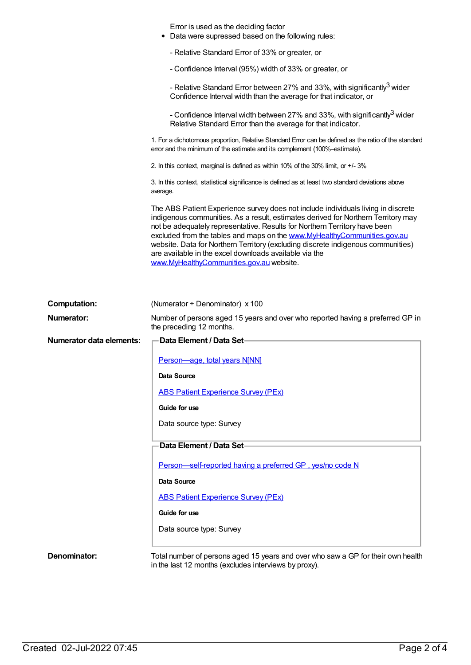|                                 | Error is used as the deciding factor<br>Data were supressed based on the following rules:                                                                                                                                                                                                                                                                                                                                                                                                                                  |
|---------------------------------|----------------------------------------------------------------------------------------------------------------------------------------------------------------------------------------------------------------------------------------------------------------------------------------------------------------------------------------------------------------------------------------------------------------------------------------------------------------------------------------------------------------------------|
|                                 | - Relative Standard Error of 33% or greater, or                                                                                                                                                                                                                                                                                                                                                                                                                                                                            |
|                                 | - Confidence Interval (95%) width of 33% or greater, or                                                                                                                                                                                                                                                                                                                                                                                                                                                                    |
|                                 | - Relative Standard Error between 27% and 33%, with significantly <sup>3</sup> wider<br>Confidence Interval width than the average for that indicator, or                                                                                                                                                                                                                                                                                                                                                                  |
|                                 | - Confidence Interval width between 27% and 33%, with significantly <sup>3</sup> wider<br>Relative Standard Error than the average for that indicator.                                                                                                                                                                                                                                                                                                                                                                     |
|                                 | 1. For a dichotomous proportion, Relative Standard Error can be defined as the ratio of the standard<br>error and the minimum of the estimate and its complement (100%-estimate).                                                                                                                                                                                                                                                                                                                                          |
|                                 | 2. In this context, marginal is defined as within 10% of the 30% limit, or +/- 3%                                                                                                                                                                                                                                                                                                                                                                                                                                          |
|                                 | 3. In this context, statistical significance is defined as at least two standard deviations above<br>average.                                                                                                                                                                                                                                                                                                                                                                                                              |
|                                 | The ABS Patient Experience survey does not include individuals living in discrete<br>indigenous communities. As a result, estimates derived for Northern Territory may<br>not be adequately representative. Results for Northern Territory have been<br>excluded from the tables and maps on the www.MyHealthyCommunities.gov.au<br>website. Data for Northern Territory (excluding discrete indigenous communities)<br>are available in the excel downloads available via the<br>www.MyHealthyCommunities.gov.au website. |
|                                 |                                                                                                                                                                                                                                                                                                                                                                                                                                                                                                                            |
| <b>Computation:</b>             | (Numerator ÷ Denominator) x 100                                                                                                                                                                                                                                                                                                                                                                                                                                                                                            |
| <b>Numerator:</b>               | Number of persons aged 15 years and over who reported having a preferred GP in<br>the preceding 12 months.                                                                                                                                                                                                                                                                                                                                                                                                                 |
| <b>Numerator data elements:</b> | <b>Data Element / Data Set</b>                                                                                                                                                                                                                                                                                                                                                                                                                                                                                             |
|                                 | Person-age, total years N[NN]                                                                                                                                                                                                                                                                                                                                                                                                                                                                                              |
|                                 | <b>Data Source</b>                                                                                                                                                                                                                                                                                                                                                                                                                                                                                                         |
|                                 | <b>ABS Patient Experience Survey (PEx)</b>                                                                                                                                                                                                                                                                                                                                                                                                                                                                                 |
|                                 | Guide for use                                                                                                                                                                                                                                                                                                                                                                                                                                                                                                              |
|                                 | Data source type: Survey                                                                                                                                                                                                                                                                                                                                                                                                                                                                                                   |
|                                 | Data Element / Data Set-                                                                                                                                                                                                                                                                                                                                                                                                                                                                                                   |
|                                 |                                                                                                                                                                                                                                                                                                                                                                                                                                                                                                                            |
|                                 | Person-self-reported having a preferred GP, yes/no code N                                                                                                                                                                                                                                                                                                                                                                                                                                                                  |
|                                 | <b>Data Source</b>                                                                                                                                                                                                                                                                                                                                                                                                                                                                                                         |
|                                 | <b>ABS Patient Experience Survey (PEx)</b>                                                                                                                                                                                                                                                                                                                                                                                                                                                                                 |
|                                 | Guide for use                                                                                                                                                                                                                                                                                                                                                                                                                                                                                                              |
|                                 | Data source type: Survey                                                                                                                                                                                                                                                                                                                                                                                                                                                                                                   |
|                                 |                                                                                                                                                                                                                                                                                                                                                                                                                                                                                                                            |
| Denominator:                    | Total number of persons aged 15 years and over who saw a GP for their own health<br>in the last 12 months (excludes interviews by proxy).                                                                                                                                                                                                                                                                                                                                                                                  |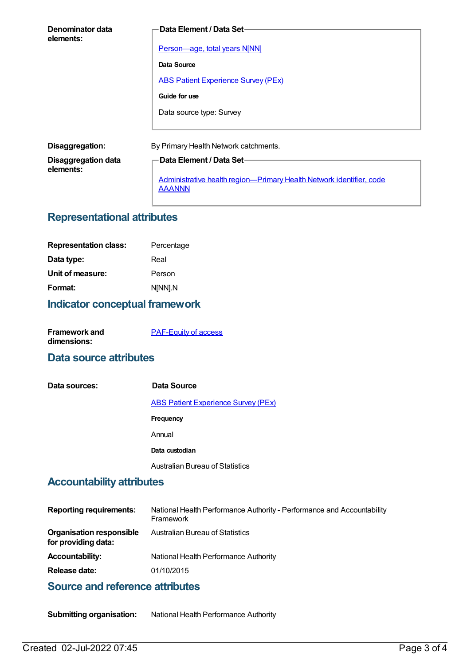| Denominator data<br>elements:           | Data Element / Data Set-                                                              |
|-----------------------------------------|---------------------------------------------------------------------------------------|
|                                         | <b>Person-age, total years N[NN]</b>                                                  |
|                                         | Data Source                                                                           |
|                                         | <b>ABS Patient Experience Survey (PEx)</b>                                            |
|                                         | Guide for use                                                                         |
|                                         | Data source type: Survey                                                              |
|                                         |                                                                                       |
| Disaggregation:                         | By Primary Health Network catchments.                                                 |
| <b>Disaggregation data</b><br>elements: | <b>Data Element / Data Set-</b>                                                       |
|                                         | Administrative health region-Primary Health Network identifier, code<br><b>AAANNN</b> |

# **Representational attributes**

| <b>Representation class:</b> | Percentage |
|------------------------------|------------|
| Data type:                   | Real       |
| Unit of measure:             | Person     |
| Format:                      | N[NN].N    |
|                              |            |

# **Indicator conceptual framework**

| <b>Framework and</b> | <b>PAF-Equity of access</b> |
|----------------------|-----------------------------|
| dimensions:          |                             |

#### **Data source attributes**

| Data sources: | Data Source                                |
|---------------|--------------------------------------------|
|               | <b>ABS Patient Experience Survey (PEx)</b> |
|               | <b>Frequency</b>                           |
|               | Annual                                     |
|               | Data custodian                             |
|               | <b>Australian Bureau of Statistics</b>     |

### **Accountability attributes**

| <b>Reporting requirements:</b>                         | National Health Performance Authority - Performance and Accountability<br>Framework |
|--------------------------------------------------------|-------------------------------------------------------------------------------------|
| <b>Organisation responsible</b><br>for providing data: | Australian Bureau of Statistics                                                     |
| <b>Accountability:</b>                                 | National Health Performance Authority                                               |
| Release date:                                          | 01/10/2015                                                                          |

## **Source and reference attributes**

**Submitting organisation:** National Health Performance Authority